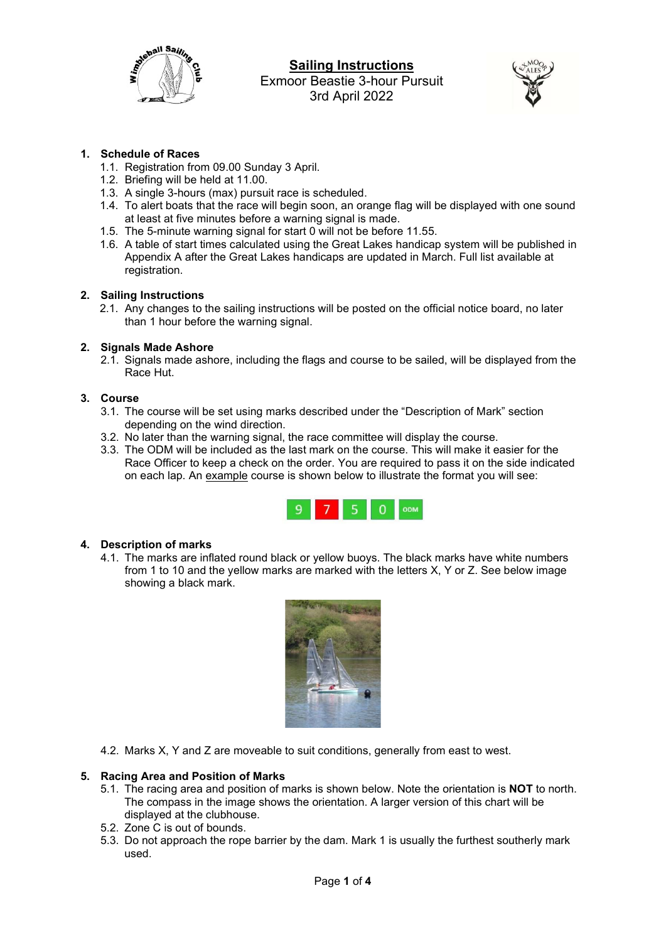

# Sailing Instructions Exmoor Beastie 3-hour Pursuit 3rd April 2022



## 1. Schedule of Races

- 1.1. Registration from 09.00 Sunday 3 April.
- 1.2. Briefing will be held at 11.00.
- 1.3. A single 3-hours (max) pursuit race is scheduled.
- 1.4. To alert boats that the race will begin soon, an orange flag will be displayed with one sound at least at five minutes before a warning signal is made.
- 1.5. The 5-minute warning signal for start 0 will not be before 11.55.
- 1.6. A table of start times calculated using the Great Lakes handicap system will be published in Appendix A after the Great Lakes handicaps are updated in March. Full list available at registration.

### 2. Sailing Instructions

2.1. Any changes to the sailing instructions will be posted on the official notice board, no later than 1 hour before the warning signal.

### 2. Signals Made Ashore

2.1. Signals made ashore, including the flags and course to be sailed, will be displayed from the Race Hut.

### 3. Course

- 3.1. The course will be set using marks described under the "Description of Mark" section depending on the wind direction.
- 3.2. No later than the warning signal, the race committee will display the course.
- 3.3. The ODM will be included as the last mark on the course. This will make it easier for the Race Officer to keep a check on the order. You are required to pass it on the side indicated on each lap. An example course is shown below to illustrate the format you will see:



## 4. Description of marks

4.1. The marks are inflated round black or yellow buoys. The black marks have white numbers from 1 to 10 and the yellow marks are marked with the letters X, Y or Z. See below image showing a black mark.



4.2. Marks X, Y and Z are moveable to suit conditions, generally from east to west.

## 5. Racing Area and Position of Marks

- 5.1. The racing area and position of marks is shown below. Note the orientation is NOT to north. The compass in the image shows the orientation. A larger version of this chart will be displayed at the clubhouse.
- 5.2. Zone C is out of bounds.
- 5.3. Do not approach the rope barrier by the dam. Mark 1 is usually the furthest southerly mark used.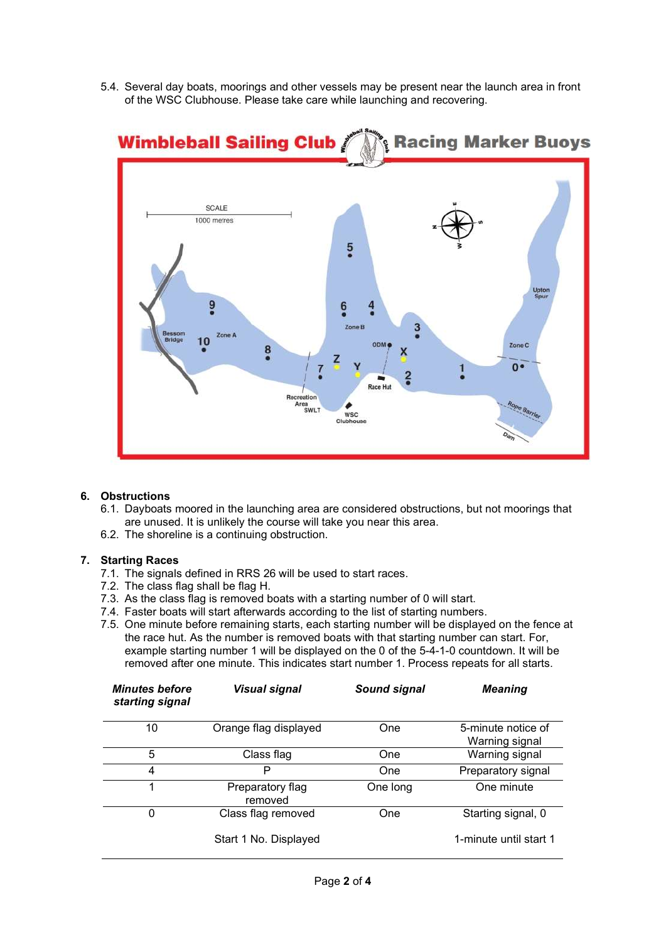5.4. Several day boats, moorings and other vessels may be present near the launch area in front of the WSC Clubhouse. Please take care while launching and recovering.



## 6. Obstructions

- 6.1. Dayboats moored in the launching area are considered obstructions, but not moorings that are unused. It is unlikely the course will take you near this area.
- 6.2. The shoreline is a continuing obstruction.

## 7. Starting Races

- 7.1. The signals defined in RRS 26 will be used to start races.
- 7.2. The class flag shall be flag H.
- 7.3. As the class flag is removed boats with a starting number of 0 will start.
- 7.4. Faster boats will start afterwards according to the list of starting numbers.
- 7.5. One minute before remaining starts, each starting number will be displayed on the fence at the race hut. As the number is removed boats with that starting number can start. For, example starting number 1 will be displayed on the 0 of the 5-4-1-0 countdown. It will be removed after one minute. This indicates start number 1. Process repeats for all starts.

| <b>Minutes before</b><br>starting signal | Visual signal               | Sound signal | <b>Meaning</b>                       |
|------------------------------------------|-----------------------------|--------------|--------------------------------------|
| 10                                       | Orange flag displayed       | One          | 5-minute notice of<br>Warning signal |
| 5                                        | Class flag                  | One          | Warning signal                       |
| 4                                        | Р                           | One          | Preparatory signal                   |
| 1                                        | Preparatory flag<br>removed | One long     | One minute                           |
| 0                                        | Class flag removed          | One          | Starting signal, 0                   |
|                                          | Start 1 No. Displayed       |              | 1-minute until start 1               |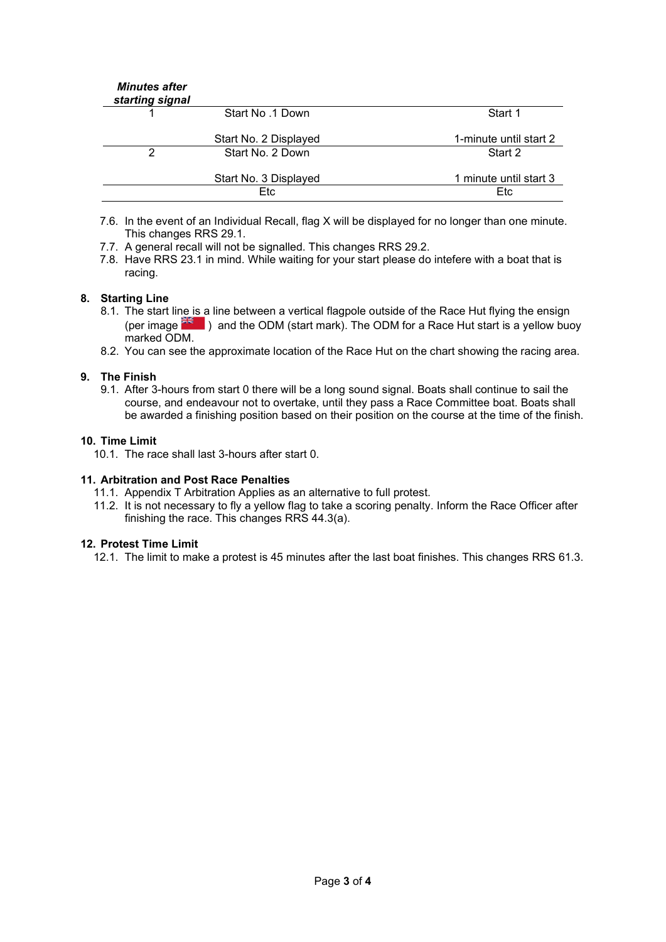| <b>Minutes after</b><br>starting signal |                       |                        |
|-----------------------------------------|-----------------------|------------------------|
|                                         | Start No. 1 Down      | Start 1                |
|                                         | Start No. 2 Displayed | 1-minute until start 2 |
| 2                                       | Start No. 2 Down      | Start 2                |
|                                         | Start No. 3 Displayed | 1 minute until start 3 |
|                                         | Etc                   | Etc                    |

7.6. In the event of an Individual Recall, flag X will be displayed for no longer than one minute. This changes RRS 29.1.

- 7.7. A general recall will not be signalled. This changes RRS 29.2.
- 7.8. Have RRS 23.1 in mind. While waiting for your start please do intefere with a boat that is racing.

## 8. Starting Line

- 8.1. The start line is a line between a vertical flagpole outside of the Race Hut flying the ensign (per image  $\frac{36}{100}$ ) and the ODM (start mark). The ODM for a Race Hut start is a yellow buoy marked ODM.
- 8.2. You can see the approximate location of the Race Hut on the chart showing the racing area.

### 9. The Finish

9.1. After 3-hours from start 0 there will be a long sound signal. Boats shall continue to sail the course, and endeavour not to overtake, until they pass a Race Committee boat. Boats shall be awarded a finishing position based on their position on the course at the time of the finish.

### 10. Time Limit

10.1. The race shall last 3-hours after start 0.

#### 11. Arbitration and Post Race Penalties

- 11.1. Appendix T Arbitration Applies as an alternative to full protest.
- 11.2. It is not necessary to fly a yellow flag to take a scoring penalty. Inform the Race Officer after finishing the race. This changes RRS 44.3(a).

### 12. Protest Time Limit

12.1. The limit to make a protest is 45 minutes after the last boat finishes. This changes RRS 61.3.